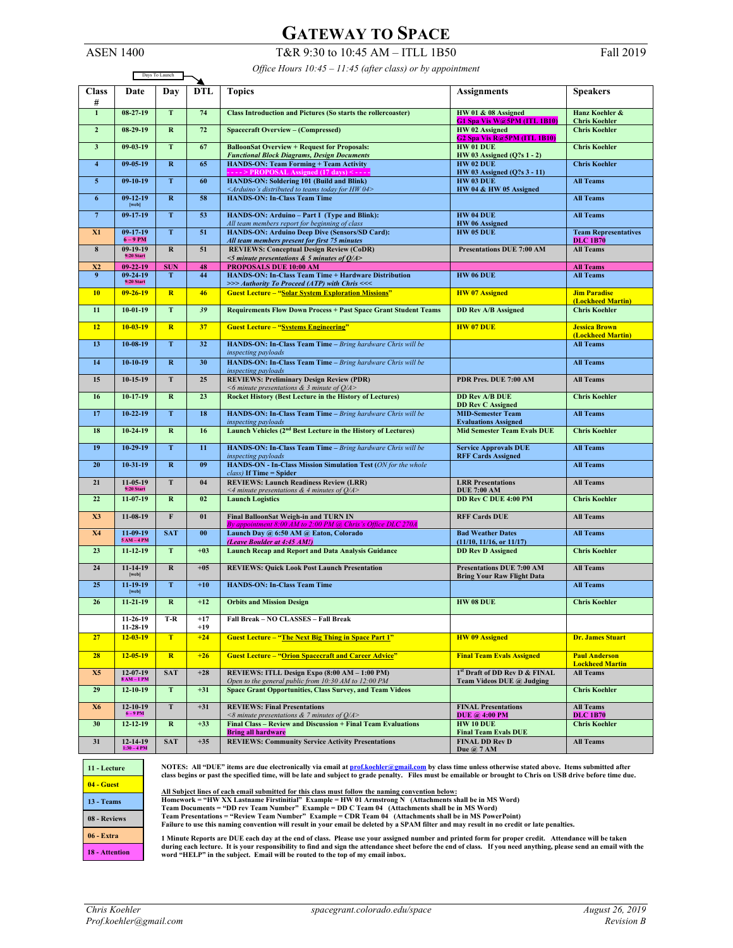## **GATEWAY TO SPACE**

*Office Hours 10:45 – 11:45 (after class) or by appointment*

T&R 9:30 to 10:45 AM – ITLL 1B50 Fall 2019

| <b>ASEN 1400</b> |  |
|------------------|--|
|------------------|--|

|                     | Office Hours $10.43 - 11.43$ (after class) or by appointment<br>Days To Launch |                         |                |                                                                                                                                                                     |                                                                          |                                                |
|---------------------|--------------------------------------------------------------------------------|-------------------------|----------------|---------------------------------------------------------------------------------------------------------------------------------------------------------------------|--------------------------------------------------------------------------|------------------------------------------------|
| <b>Class</b><br>#   | Date                                                                           | Day                     | <b>DTL</b>     | <b>Topics</b>                                                                                                                                                       | <b>Assignments</b>                                                       | <b>Speakers</b>                                |
| $\overline{1}$      | $08-27-19$                                                                     | T                       | 74             | <b>Class Introduction and Pictures (So starts the rollercoaster)</b>                                                                                                | HW 01 & 08 Assigned<br>G1 Spa Vis W@5PM (ITL 1B10)                       | Hanz Koehler &<br><b>Chris Koehler</b>         |
| $\overline{2}$      | $08-29-19$                                                                     | $\mathbf{R}$            | 72             | <b>Spacecraft Overview - (Compressed)</b>                                                                                                                           | HW 02 Assigned<br>G <sub>2</sub> Spa Vis R <sub>(a)</sub> 5PM (ITL 1B10) | <b>Chris Koehler</b>                           |
| $\mathbf{3}$        | $09 - 03 - 19$                                                                 | T                       | 67             | <b>BalloonSat Overview + Request for Proposals:</b><br>HW 01 DUE<br>HW 03 Assigned $(Q$ ?s 1 - 2)<br><b>Functional Block Diagrams, Design Documents</b>             |                                                                          | <b>Chris Koehler</b>                           |
| $\overline{\bf{4}}$ | $09 - 05 - 19$                                                                 | $\bf R$                 | 65             | <b>HANDS-ON: Team Forming + Team Activity</b><br>$---$ PROPOSAL Assigned (17 days) <--                                                                              | <b>HW 02 DUE</b><br>HW 03 Assigned (Q?s 3 - 11)                          | <b>Chris Koehler</b>                           |
| 5 <sup>5</sup>      | $09-10-19$                                                                     | T                       | 60             | HANDS-ON: Soldering 101 (Build and Blink)<br><arduino's 04="" distributed="" for="" hw="" teams="" to="" today=""></arduino's>                                      | HW 03 DUE<br>HW 04 & HW 05 Assigned                                      | <b>All Teams</b>                               |
| 6                   | $09-12-19$<br>[web]                                                            | $\mathbf R$             | 58             | <b>HANDS-ON: In-Class Team Time</b>                                                                                                                                 |                                                                          | <b>All Teams</b>                               |
| $\boldsymbol{7}$    | $09-17-19$                                                                     | T                       | 53             | HANDS-ON: Arduino - Part I (Type and Blink):<br>All team members report for beginning of class                                                                      | <b>HW 04 DUE</b><br>HW 06 Assigned                                       | <b>All Teams</b>                               |
| X1                  | $09-17-19$<br>$6 - 9$ PM                                                       | T                       | 51             | HANDS-ON: Arduino Deep Dive (Sensors/SD Card):<br>All team members present for first 75 minutes                                                                     | HW 05 DUE                                                                | <b>Team Representatives</b><br><b>DLC 1B70</b> |
| 8                   | $09-19-19$<br>$9:20$ Start                                                     | R                       | 51             | <b>REVIEWS: Conceptual Design Review (CoDR)</b><br>$\leq$ 5 minute presentations & 5 minutes of Q/A>                                                                | <b>Presentations DUE 7:00 AM</b>                                         | <b>All Teams</b>                               |
| X2                  | $09 - 22 - 19$                                                                 | <b>SUN</b>              | 48             | PROPOSALS DUE 10:00 AM                                                                                                                                              |                                                                          | <b>All Teams</b>                               |
| 9                   | $09-24-19$<br>9:20 Start                                                       | T                       | 44             | HANDS-ON: In-Class Team Time + Hardware Distribution<br>>>> Authority To Proceed (ATP) with Chris <<<                                                               | HW 06 DUE                                                                | <b>All Teams</b>                               |
| 10                  | $09 - 26 - 19$                                                                 | $\overline{\mathbf{R}}$ | 46             | <b>Guest Lecture - "Solar System Exploration Missions"</b>                                                                                                          | <b>HW</b> 07 Assigned                                                    | <b>Jim Paradise</b><br>(Lockheed Martin)       |
| 11                  | $10-01-19$                                                                     | T.                      | 39             | <b>Requirements Flow Down Process + Past Space Grant Student Teams</b>                                                                                              | <b>DD Rev A/B Assigned</b>                                               | <b>Chris Koehler</b>                           |
| 12                  | $10 - 03 - 19$                                                                 | $\overline{\mathbf{R}}$ | 37             | <b>Guest Lecture - "Systems Engineering"</b>                                                                                                                        | <b>HW 07 DUE</b>                                                         | <b>Jessica Brown</b><br>(Lockheed Martin)      |
| 13                  | $10-08-19$                                                                     | T                       | 32             | HANDS-ON: In-Class Team Time - Bring hardware Chris will be<br>inspecting payloads                                                                                  |                                                                          | <b>All Teams</b>                               |
| 14                  | $10-10-19$                                                                     | $\mathbf R$             | 30             | HANDS-ON: In-Class Team Time - Bring hardware Chris will be<br>inspecting payloads                                                                                  |                                                                          | <b>All Teams</b>                               |
| 15                  | $10-15-19$                                                                     | T                       | 25             | <b>REVIEWS: Preliminary Design Review (PDR)</b><br><6 minute presentations & 3 minute of $Q/A$ >                                                                    | PDR Pres. DUE 7:00 AM                                                    | <b>All Teams</b>                               |
| 16                  | $10-17-19$                                                                     | $\bf R$                 | 23             | <b>Rocket History (Best Lecture in the History of Lectures)</b>                                                                                                     | <b>DD Rev A/B DUE</b><br><b>DD Rev C Assigned</b>                        | <b>Chris Koehler</b>                           |
| 17                  | $10 - 22 - 19$                                                                 | T                       | 18             | HANDS-ON: In-Class Team Time - Bring hardware Chris will be                                                                                                         | <b>MID-Semester Team</b>                                                 | <b>All Teams</b>                               |
| 18                  | $10-24-19$                                                                     | $\mathbf R$             | 16             | inspecting payloads<br>Launch Vehicles (2 <sup>nd</sup> Best Lecture in the History of Lectures)                                                                    | <b>Evaluations Assigned</b><br><b>Mid Semester Team Evals DUE</b>        | <b>Chris Koehler</b>                           |
| 19                  | $10-29-19$                                                                     | T                       | 11             | HANDS-ON: In-Class Team Time - Bring hardware Chris will be                                                                                                         | <b>Service Approvals DUE</b>                                             | <b>All Teams</b>                               |
| 20                  | $10-31-19$                                                                     | $\mathbf R$             | 09             | inspecting payloads<br>HANDS-ON - In-Class Mission Simulation Test (ON for the whole                                                                                | <b>RFF Cards Assigned</b>                                                | <b>All Teams</b>                               |
| 21                  | 11-05-19<br>$9:20$ Start                                                       | T                       | 04             | $class$ ) If Time = Spider<br><b>REVIEWS: Launch Readiness Review (LRR)</b>                                                                                         | <b>LRR</b> Presentations                                                 | <b>All Teams</b>                               |
| 22                  | $11-07-19$                                                                     | $\bf R$                 | 02             | <4 minute presentations & 4 minutes of $Q/A$ ><br><b>Launch Logistics</b>                                                                                           | <b>DUE 7:00 AM</b><br><b>DD Rev C DUE 4:00 PM</b>                        | <b>Chris Koehler</b>                           |
| X3                  | $11-08-19$                                                                     | $\mathbf{F}$            | 01             | Final BalloonSat Weigh-in and TURN IN                                                                                                                               | <b>RFF Cards DUE</b>                                                     | <b>All Teams</b>                               |
| X4                  | $11-09-19$<br>$5AM-4PM$                                                        | <b>SAT</b>              | 00             | By appointment 8:00 AM to 2:00 PM @ Chris's Office DLC 270A<br>Launch Day @ 6:50 AM @ Eaton, Colorado                                                               | <b>Bad Weather Dates</b>                                                 | <b>All Teams</b>                               |
| 23                  | $11 - 12 - 19$                                                                 | T                       | $+03$          | (Leave Boulder at 4:45 AM!)<br><b>Launch Recap and Report and Data Analysis Guidance</b>                                                                            | (11/10, 11/16, or 11/17)<br><b>DD Rev D Assigned</b>                     | <b>Chris Koehler</b>                           |
| 24                  | $11-14-19$<br>[web]                                                            | $\overline{\mathbf{R}}$ | $+05$          | <b>REVIEWS: Quick Look Post Launch Presentation</b>                                                                                                                 | <b>Presentations DUE 7:00 AM</b>                                         | <b>All Teams</b>                               |
| 25                  | $11 - 19 - 19$<br>[web]                                                        | T                       | $+10$          | <b>Bring Your Raw Flight Data</b><br><b>HANDS-ON: In-Class Team Time</b>                                                                                            |                                                                          | <b>All Teams</b>                               |
| 26                  | $11 - 21 - 19$                                                                 | $\bf R$                 | $+12$          | <b>Orbits and Mission Design</b><br>HW 08 DUE                                                                                                                       |                                                                          | <b>Chris Koehler</b>                           |
|                     | $11-26-19$<br>$11 - 28 - 19$                                                   | T-R                     | $+17$<br>$+19$ | Fall Break - NO CLASSES - Fall Break                                                                                                                                |                                                                          |                                                |
| 27                  | $12 - 03 - 19$                                                                 | T                       | $+24$          | <b>Guest Lecture - "The Next Big Thing in Space Part 1"</b>                                                                                                         | <b>HW</b> 09 Assigned                                                    | <b>Dr. James Stuart</b>                        |
| 28                  | $12 - 05 - 19$                                                                 | $\mathbf{R}$            | $+26$          | <b>Guest Lecture - "Orion Spacecraft and Career Advice"</b>                                                                                                         | <b>Final Team Evals Assigned</b>                                         | <b>Paul Anderson</b><br><b>Lockheed Martin</b> |
| X5                  | $12 - 07 - 19$<br>$8 AM-1 PM$                                                  | <b>SAT</b>              | $+28$          | REVIEWS: ITLL Design Expo (8:00 AM - 1:00 PM)<br>1st Draft of DD Rev D & FINAL<br>Open to the general public from 10:30 AM to 12:00 PM<br>Team Videos DUE @ Judging |                                                                          | <b>All Teams</b>                               |
| 29                  | $12 - 10 - 19$                                                                 | T                       | $+31$          | <b>Space Grant Opportunities, Class Survey, and Team Videos</b>                                                                                                     |                                                                          | <b>Chris Koehler</b>                           |
| <b>X6</b>           | $12 - 10 - 19$<br>$6 - 9$ PM                                                   | T                       | $+31$          | <b>REVIEWS: Final Presentations</b><br><8 minute presentations $\&$ 7 minutes of $Q/A$ >                                                                            | <b>FINAL Presentations</b><br><b>DUE</b> @ 4:00 PM                       | <b>All Teams</b><br><b>DLC 1B70</b>            |
| 30                  | $12 - 12 - 19$                                                                 | $\bf R$                 | $+33$          | Final Class - Review and Discussion + Final Team Evaluations<br><b>Bring all hardware</b>                                                                           | <b>HW 10 DUE</b><br><b>Final Team Evals DUE</b>                          | <b>Chris Koehler</b>                           |
| 31                  | $12 - 14 - 19$<br>$1:30 - 4 PM$                                                | <b>SAT</b>              | $+35$          | <b>REVIEWS: Community Service Activity Presentations</b>                                                                                                            | <b>FINAL DD Rev D</b><br>Due @ 7 AM                                      | <b>All Teams</b>                               |
|                     |                                                                                |                         |                |                                                                                                                                                                     |                                                                          |                                                |



NOTES: All "DUE" items are due electronically via email at <u>prof.koehler@gmail.com</u> by class time unless otherwise stated above. Items submitted after<br>class begins or past the specified time, will be late and subject to gr

All Subject lines of each email submitted for this class must follow the naming convention below:<br>Homework = "HW XX Lastname Firstinitial" Example = HW 01 Armstrong N(Attachments shall be in MS Word)<br>Team Documents = "DD r

**1 Minute Reports are DUE each day at the end of class. Please use your assigned number and printed form for proper credit. Attendance will be taken**  during each lecture. It is your responsibility to find and sign the attendance sheet before the end of class. If you need anything, please send an email with the<br>word "HELP" in the subject. Email will be routed to the top